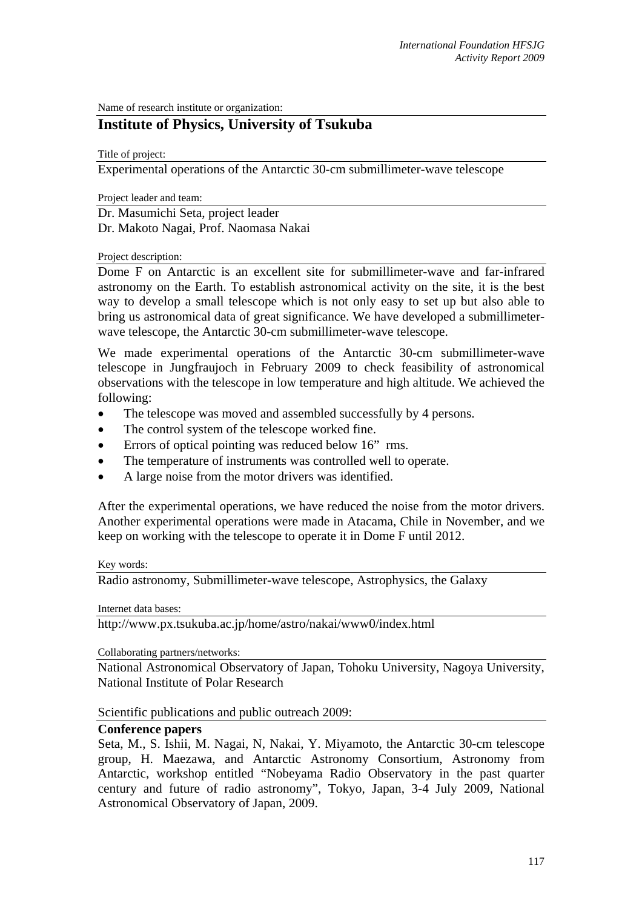Name of research institute or organization:

# **Institute of Physics, University of Tsukuba**

Title of project:

Experimental operations of the Antarctic 30-cm submillimeter-wave telescope

Project leader and team:

Dr. Masumichi Seta, project leader Dr. Makoto Nagai, Prof. Naomasa Nakai

### Project description:

Dome F on Antarctic is an excellent site for submillimeter-wave and far-infrared astronomy on the Earth. To establish astronomical activity on the site, it is the best way to develop a small telescope which is not only easy to set up but also able to bring us astronomical data of great significance. We have developed a submillimeterwave telescope, the Antarctic 30-cm submillimeter-wave telescope.

We made experimental operations of the Antarctic 30-cm submillimeter-wave telescope in Jungfraujoch in February 2009 to check feasibility of astronomical observations with the telescope in low temperature and high altitude. We achieved the following:

- The telescope was moved and assembled successfully by 4 persons.
- The control system of the telescope worked fine.
- Errors of optical pointing was reduced below 16" rms.
- The temperature of instruments was controlled well to operate.
- A large noise from the motor drivers was identified.

After the experimental operations, we have reduced the noise from the motor drivers. Another experimental operations were made in Atacama, Chile in November, and we keep on working with the telescope to operate it in Dome F until 2012.

#### Key words:

Radio astronomy, Submillimeter-wave telescope, Astrophysics, the Galaxy

Internet data bases:

http://www.px.tsukuba.ac.jp/home/astro/nakai/www0/index.html

Collaborating partners/networks:

National Astronomical Observatory of Japan, Tohoku University, Nagoya University, National Institute of Polar Research

Scientific publications and public outreach 2009:

# **Conference papers**

Seta, M., S. Ishii, M. Nagai, N, Nakai, Y. Miyamoto, the Antarctic 30-cm telescope group, H. Maezawa, and Antarctic Astronomy Consortium, Astronomy from Antarctic, workshop entitled "Nobeyama Radio Observatory in the past quarter century and future of radio astronomy", Tokyo, Japan, 3-4 July 2009, National Astronomical Observatory of Japan, 2009.